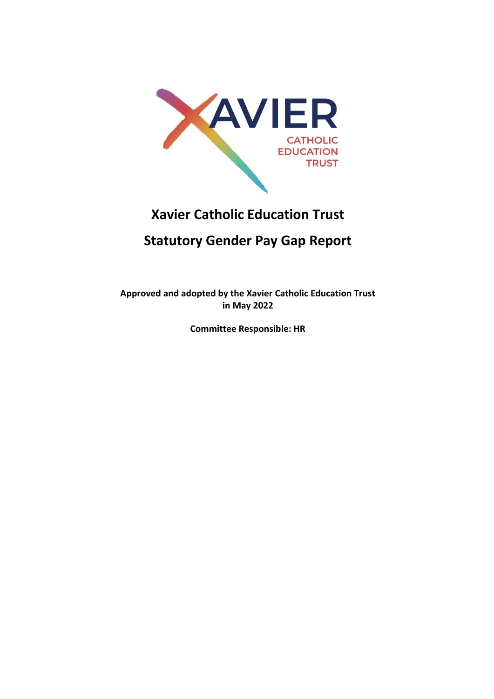

# **Xavier Catholic Education Trust**

# **Statutory Gender Pay Gap Report**

**Approved and adopted by the Xavier Catholic Education Trust in May 2022**

**Committee Responsible: HR**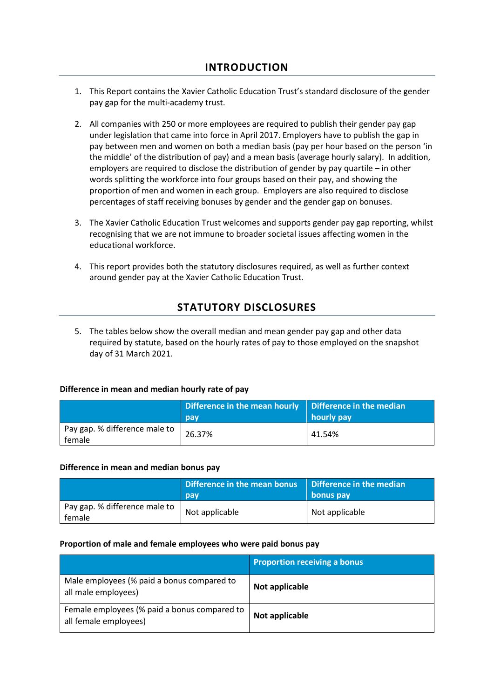- 1. This Report contains the Xavier Catholic Education Trust's standard disclosure of the gender pay gap for the multi-academy trust.
- 2. All companies with 250 or more employees are required to publish their gender pay gap under legislation that came into force in April 2017. Employers have to publish the gap in pay between men and women on both a median basis (pay per hour based on the person 'in the middle' of the distribution of pay) and a mean basis (average hourly salary). In addition, employers are required to disclose the distribution of gender by pay quartile – in other words splitting the workforce into four groups based on their pay, and showing the proportion of men and women in each group. Employers are also required to disclose percentages of staff receiving bonuses by gender and the gender gap on bonuses.
- 3. The Xavier Catholic Education Trust welcomes and supports gender pay gap reporting, whilst recognising that we are not immune to broader societal issues affecting women in the educational workforce.
- 4. This report provides both the statutory disclosures required, as well as further context around gender pay at the Xavier Catholic Education Trust.

## **STATUTORY DISCLOSURES**

5. The tables below show the overall median and mean gender pay gap and other data required by statute, based on the hourly rates of pay to those employed on the snapshot day of 31 March 2021.

### **Difference in mean and median hourly rate of pay**

|                                         | Difference in the mean hourly Difference in the median<br>pay | hourly pay |
|-----------------------------------------|---------------------------------------------------------------|------------|
| Pay gap. % difference male to<br>female | 26.37%                                                        | 41.54%     |

#### **Difference in mean and median bonus pay**

|                                         | Difference in the mean bonus<br>pay | Difference in the median<br>bonus pay |
|-----------------------------------------|-------------------------------------|---------------------------------------|
| Pay gap. % difference male to<br>female | Not applicable                      | Not applicable                        |

#### **Proportion of male and female employees who were paid bonus pay**

|                                                                       | <b>Proportion receiving a bonus</b> |
|-----------------------------------------------------------------------|-------------------------------------|
| Male employees (% paid a bonus compared to<br>all male employees)     | Not applicable                      |
| Female employees (% paid a bonus compared to<br>all female employees) | Not applicable                      |